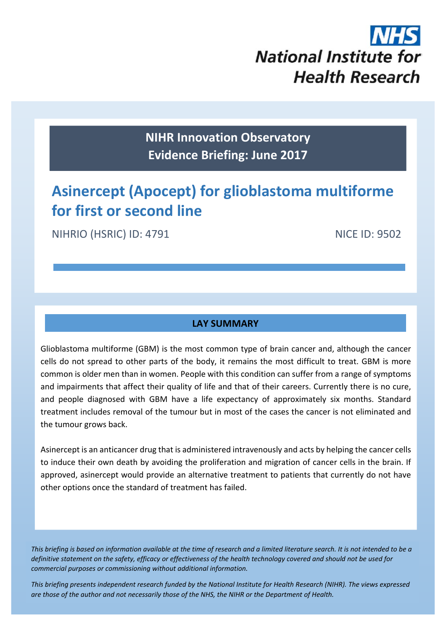

**NIHR Innovation Observatory Evidence Briefing: June 2017**

# **Asinercept (Apocept) for glioblastoma multiforme for first or second line**

NIHRIO (HSRIC) ID: 4791 NICE ID: 9502

### **LAY SUMMARY**

Glioblastoma multiforme (GBM) is the most common type of brain cancer and, although the cancer cells do not spread to other parts of the body, it remains the most difficult to treat. GBM is more common is older men than in women. People with this condition can suffer from a range of symptoms and impairments that affect their quality of life and that of their careers. Currently there is no cure, and people diagnosed with GBM have a life expectancy of approximately six months. Standard treatment includes removal of the tumour but in most of the cases the cancer is not eliminated and the tumour grows back.

Asinercept is an anticancer drug that is administered intravenously and acts by helping the cancer cells to induce their own death by avoiding the proliferation and migration of cancer cells in the brain. If approved, asinercept would provide an alternative treatment to patients that currently do not have other options once the standard of treatment has failed.

This briefing is based on information available at the time of research and a limited literature search. It is not intended to be a definitive statement on the safety, efficacy or effectiveness of the health technology covered and should not be used for *commercial purposes or commissioning without additional information.*

1 *This briefing presents independent research funded by the National Institute for Health Research (NIHR). The views expressed* are those of the author and not necessarily those of the NHS, the NIHR or the Department of Health.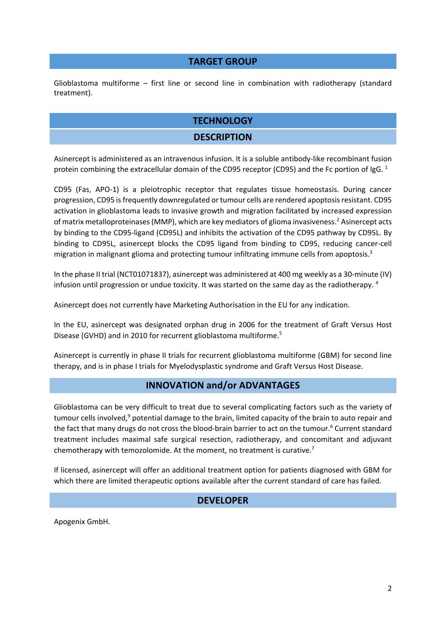#### **TARGET GROUP**

Glioblastoma multiforme – first line or second line in combination with radiotherapy (standard treatment).

## **TECHNOLOGY**

#### **DESCRIPTION**

Asinercept is administered as an intravenous infusion. It is a soluble antibody‐like recombinant fusion protein combining the extracellular domain of the CD95 receptor (CD95) and the Fc portion of IgG. <sup>1</sup>

CD95 (Fas, APO‐1) is a pleiotrophic receptor that regulates tissue homeostasis. During cancer progression, CD95 is frequently downregulated or tumour cells are rendered apoptosis resistant. CD95 activation in glioblastoma leads to invasive growth and migration facilitated by increased expression of matrix metalloproteinases(MMP), which are key mediators of glioma invasiveness.2 Asinercept acts by binding to the CD95‐ligand (CD95L) and inhibits the activation of the CD95 pathway by CD95L. By binding to CD95L, asinercept blocks the CD95 ligand from binding to CD95, reducing cancer-cell migration in malignant glioma and protecting tumour infiltrating immune cells from apoptosis.<sup>3</sup>

In the phase II trial (NCT01071837), asinercept was administered at 400 mg weekly as a 30‐minute (IV) infusion until progression or undue toxicity. It was started on the same day as the radiotherapy.  $4$ 

Asinercept does not currently have Marketing Authorisation in the EU for any indication.

In the EU, asinercept was designated orphan drug in 2006 for the treatment of Graft Versus Host Disease (GVHD) and in 2010 for recurrent glioblastoma multiforme.5

Asinercept is currently in phase II trials for recurrent glioblastoma multiforme (GBM) for second line therapy, and is in phase I trials for Myelodysplastic syndrome and Graft Versus Host Disease.

#### **INNOVATION and/or ADVANTAGES**

Glioblastoma can be very difficult to treat due to several complicating factors such as the variety of tumour cells involved, $9$  potential damage to the brain, limited capacity of the brain to auto repair and the fact that many drugs do not cross the blood-brain barrier to act on the tumour.<sup>6</sup> Current standard treatment includes maximal safe surgical resection, radiotherapy, and concomitant and adjuvant chemotherapy with temozolomide. At the moment, no treatment is curative.<sup>7</sup>

If licensed, asinercept will offer an additional treatment option for patients diagnosed with GBM for which there are limited therapeutic options available after the current standard of care has failed.

#### **DEVELOPER**

Apogenix GmbH.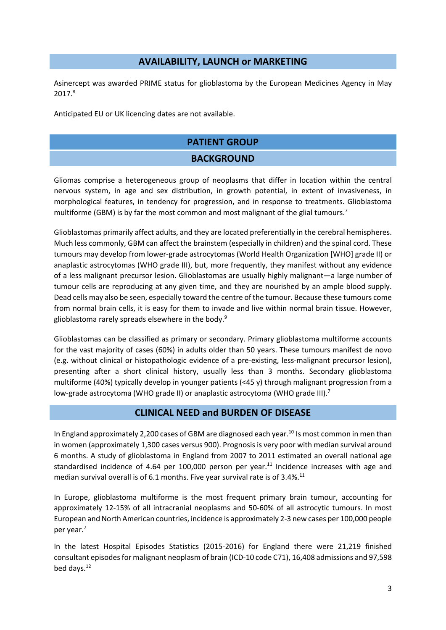#### **AVAILABILITY, LAUNCH or MARKETING**

Asinercept was awarded PRIME status for glioblastoma by the European Medicines Agency in May 2017.8

Anticipated EU or UK licencing dates are not available.

#### **PATIENT GROUP**

#### **BACKGROUND**

Gliomas comprise a heterogeneous group of neoplasms that differ in location within the central nervous system, in age and sex distribution, in growth potential, in extent of invasiveness, in morphological features, in tendency for progression, and in response to treatments. Glioblastoma multiforme (GBM) is by far the most common and most malignant of the glial tumours.<sup>7</sup>

Glioblastomas primarily affect adults, and they are located preferentially in the cerebral hemispheres. Much less commonly, GBM can affect the brainstem (especially in children) and the spinal cord. These tumours may develop from lower‐grade astrocytomas (World Health Organization [WHO] grade II) or anaplastic astrocytomas (WHO grade III), but, more frequently, they manifest without any evidence of a less malignant precursor lesion. Glioblastomas are usually highly malignant—a large number of tumour cells are reproducing at any given time, and they are nourished by an ample blood supply. Dead cells may also be seen, especially toward the centre of the tumour. Because these tumours come from normal brain cells, it is easy for them to invade and live within normal brain tissue. However, glioblastoma rarely spreads elsewhere in the body.9

Glioblastomas can be classified as primary or secondary. Primary glioblastoma multiforme accounts for the vast majority of cases (60%) in adults older than 50 years. These tumours manifest de novo (e.g. without clinical or histopathologic evidence of a pre‐existing, less‐malignant precursor lesion), presenting after a short clinical history, usually less than 3 months. Secondary glioblastoma multiforme (40%) typically develop in younger patients (<45 y) through malignant progression from a low-grade astrocytoma (WHO grade II) or anaplastic astrocytoma (WHO grade III).<sup>7</sup>

#### **CLINICAL NEED and BURDEN OF DISEASE**

In England approximately 2,200 cases of GBM are diagnosed each year.<sup>10</sup> Is most common in men than in women (approximately 1,300 cases versus 900). Prognosis is very poor with median survival around 6 months. A study of glioblastoma in England from 2007 to 2011 estimated an overall national age standardised incidence of 4.64 per 100,000 person per year.<sup>11</sup> Incidence increases with age and median survival overall is of 6.1 months. Five year survival rate is of 3.4%.<sup>11</sup>

In Europe, glioblastoma multiforme is the most frequent primary brain tumour, accounting for approximately 12‐15% of all intracranial neoplasms and 50‐60% of all astrocytic tumours. In most European and North American countries, incidence is approximately 2‐3 new cases per 100,000 people per year.7

In the latest Hospital Episodes Statistics (2015-2016) for England there were 21,219 finished consultant episodes for malignant neoplasm of brain (ICD-10 code C71), 16,408 admissions and 97,598 bed days.<sup>12</sup>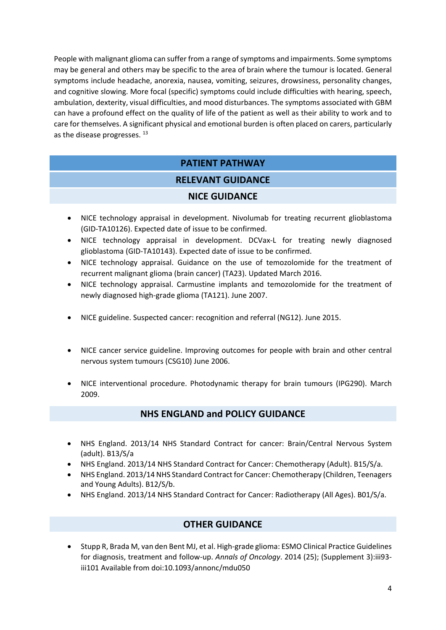People with malignant glioma can suffer from a range of symptoms and impairments. Some symptoms may be general and others may be specific to the area of brain where the tumour is located. General symptoms include headache, anorexia, nausea, vomiting, seizures, drowsiness, personality changes, and cognitive slowing. More focal (specific) symptoms could include difficulties with hearing, speech, ambulation, dexterity, visual difficulties, and mood disturbances. The symptoms associated with GBM can have a profound effect on the quality of life of the patient as well as their ability to work and to care for themselves. A significant physical and emotional burden is often placed on carers, particularly as the disease progresses. <sup>13</sup>

# **PATIENT PATHWAY**

# **RELEVANT GUIDANCE**

#### **NICE GUIDANCE**

- NICE technology appraisal in development. Nivolumab for treating recurrent glioblastoma (GID‐TA10126). Expected date of issue to be confirmed.
- NICE technology appraisal in development. DCVax-L for treating newly diagnosed glioblastoma (GID‐TA10143). Expected date of issue to be confirmed.
- NICE technology appraisal. Guidance on the use of temozolomide for the treatment of recurrent malignant glioma (brain cancer) (TA23). Updated March 2016.
- NICE technology appraisal. Carmustine implants and temozolomide for the treatment of newly diagnosed high‐grade glioma (TA121). June 2007.
- NICE guideline. Suspected cancer: recognition and referral (NG12). June 2015.
- NICE cancer service guideline. Improving outcomes for people with brain and other central nervous system tumours (CSG10) June 2006.
- NICE interventional procedure. Photodynamic therapy for brain tumours (IPG290). March 2009.

### **NHS ENGLAND and POLICY GUIDANCE**

- NHS England. 2013/14 NHS Standard Contract for cancer: Brain/Central Nervous System (adult). B13/S/a
- NHS England. 2013/14 NHS Standard Contract for Cancer: Chemotherapy (Adult). B15/S/a.
- NHS England. 2013/14 NHS Standard Contract for Cancer: Chemotherapy (Children, Teenagers and Young Adults). B12/S/b.
- NHS England. 2013/14 NHS Standard Contract for Cancer: Radiotherapy (All Ages). B01/S/a.

# **OTHER GUIDANCE**

● Stupp R, Brada M, van den Bent MJ, et al. High-grade glioma: ESMO Clinical Practice Guidelines for diagnosis, treatment and follow‐up. *Annals of Oncology*. 2014 (25); (Supplement 3):iii93‐ iii101 Available from doi:10.1093/annonc/mdu050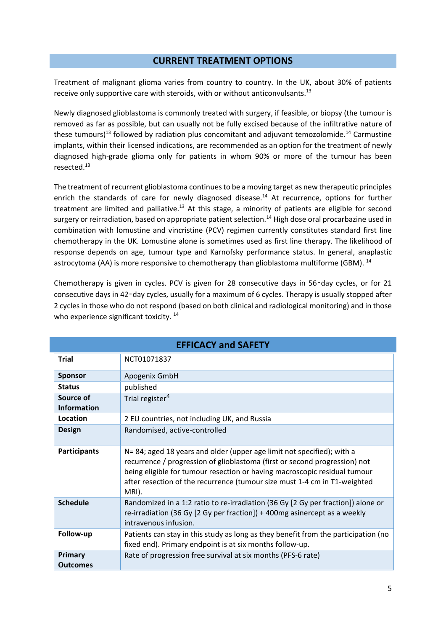#### **CURRENT TREATMENT OPTIONS**

Treatment of malignant glioma varies from country to country. In the UK, about 30% of patients receive only supportive care with steroids, with or without anticonvulsants.<sup>13</sup>

Newly diagnosed glioblastoma is commonly treated with surgery, if feasible, or biopsy (the tumour is removed as far as possible, but can usually not be fully excised because of the infiltrative nature of these tumours)<sup>13</sup> followed by radiation plus concomitant and adjuvant temozolomide.<sup>14</sup> Carmustine implants, within their licensed indications, are recommended as an option for the treatment of newly diagnosed high‐grade glioma only for patients in whom 90% or more of the tumour has been resected.13

The treatment ofrecurrent glioblastoma continuesto be a moving target as new therapeutic principles enrich the standards of care for newly diagnosed disease.<sup>14</sup> At recurrence, options for further treatment are limited and palliative.<sup>13</sup> At this stage, a minority of patients are eligible for second surgery or reirradiation, based on appropriate patient selection.<sup>14</sup> High dose oral procarbazine used in combination with lomustine and vincristine (PCV) regimen currently constitutes standard first line chemotherapy in the UK. Lomustine alone is sometimes used as first line therapy. The likelihood of response depends on age, tumour type and Karnofsky performance status. In general, anaplastic astrocytoma (AA) is more responsive to chemotherapy than glioblastoma multiforme (GBM). <sup>14</sup>

Chemotherapy is given in cycles. PCV is given for 28 consecutive days in 56‑day cycles, or for 21 consecutive days in 42‑day cycles, usually for a maximum of 6 cycles. Therapy is usually stopped after 2 cycles in those who do not respond (based on both clinical and radiological monitoring) and in those who experience significant toxicity.<sup>14</sup>

| <b>EFFICACY and SAFETY</b>      |                                                                                                                                                                                                                                                                                                                        |  |
|---------------------------------|------------------------------------------------------------------------------------------------------------------------------------------------------------------------------------------------------------------------------------------------------------------------------------------------------------------------|--|
| <b>Trial</b>                    | NCT01071837                                                                                                                                                                                                                                                                                                            |  |
| <b>Sponsor</b>                  | Apogenix GmbH                                                                                                                                                                                                                                                                                                          |  |
| <b>Status</b>                   | published                                                                                                                                                                                                                                                                                                              |  |
| Source of<br><b>Information</b> | Trial register <sup>4</sup>                                                                                                                                                                                                                                                                                            |  |
| Location                        | 2 EU countries, not including UK, and Russia                                                                                                                                                                                                                                                                           |  |
| <b>Design</b>                   | Randomised, active-controlled                                                                                                                                                                                                                                                                                          |  |
| <b>Participants</b>             | N=84; aged 18 years and older (upper age limit not specified); with a<br>recurrence / progression of glioblastoma (first or second progression) not<br>being eligible for tumour resection or having macroscopic residual tumour<br>after resection of the recurrence (tumour size must 1-4 cm in T1-weighted<br>MRI). |  |
| <b>Schedule</b>                 | Randomized in a 1:2 ratio to re-irradiation (36 Gy [2 Gy per fraction]) alone or<br>re-irradiation (36 Gy [2 Gy per fraction]) + 400mg asinercept as a weekly<br>intravenous infusion.                                                                                                                                 |  |
| Follow-up                       | Patients can stay in this study as long as they benefit from the participation (no<br>fixed end). Primary endpoint is at six months follow-up.                                                                                                                                                                         |  |
| Primary<br><b>Outcomes</b>      | Rate of progression free survival at six months (PFS-6 rate)                                                                                                                                                                                                                                                           |  |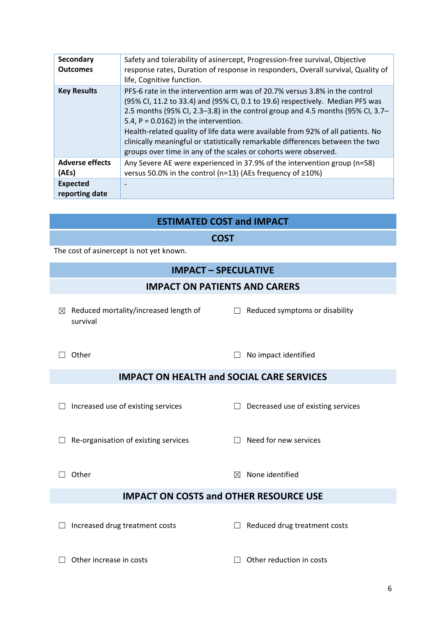| <b>Secondary</b><br><b>Outcomes</b> | Safety and tolerability of asinercept, Progression-free survival, Objective<br>response rates, Duration of response in responders, Overall survival, Quality of<br>life, Cognitive function.                                                                                                                                                                                                                                                                                                                                     |
|-------------------------------------|----------------------------------------------------------------------------------------------------------------------------------------------------------------------------------------------------------------------------------------------------------------------------------------------------------------------------------------------------------------------------------------------------------------------------------------------------------------------------------------------------------------------------------|
| <b>Key Results</b>                  | PFS-6 rate in the intervention arm was of 20.7% versus 3.8% in the control<br>(95% CI, 11.2 to 33.4) and (95% CI, 0.1 to 19.6) respectively. Median PFS was<br>2.5 months (95% CI, 2.3–3.8) in the control group and 4.5 months (95% CI, 3.7–<br>5.4, $P = 0.0162$ ) in the intervention.<br>Health-related quality of life data were available from 92% of all patients. No<br>clinically meaningful or statistically remarkable differences between the two<br>groups over time in any of the scales or cohorts were observed. |
| <b>Adverse effects</b><br>(AEs)     | Any Severe AE were experienced in 37.9% of the intervention group (n=58)<br>versus 50.0% in the control (n=13) (AEs frequency of ≥10%)                                                                                                                                                                                                                                                                                                                                                                                           |
| <b>Expected</b><br>reporting date   |                                                                                                                                                                                                                                                                                                                                                                                                                                                                                                                                  |

#### **ESTIMATED COST and IMPACT**

#### **COST**

The cost of asinercept is not yet known.

#### **IMPACT – SPECULATIVE**

#### **IMPACT ON PATIENTS AND CARERS**

 $\boxtimes$  Reduced mortality/increased length of survival

 $\Box$  Reduced symptoms or disability

☐ Other ☐ No impact identified

### **IMPACT ON HEALTH and SOCIAL CARE SERVICES**

☐ Increased use of existing services ☐ Decreased use of existing services

☐ Re‐organisation of existing services ☐ Need for new services

 $\Box$  Other  $\boxtimes$  None identified

### **IMPACT ON COSTS and OTHER RESOURCE USE**

☐ Increased drug treatment costs ☐ Reduced drug treatment costs

☐ Other increase in costs ☐ Other reduction in costs